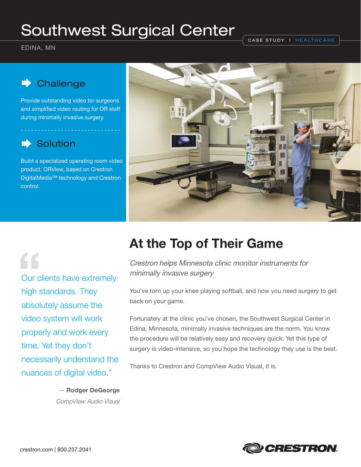# Southwest Surgical Center

EDINA, MN

CASE STUDY | HEALTHCARE

## **Challenge**

Provide outstanding video for surgeons and simplified video routing for OR staff during minimally invasive surgery.

## **Solution**

Build a specialized operating room video product, ORView, based on Crestron DigitalMedia™ technology and Crestron control.



# **"**

Our clients have extremely high standards. They absolutely assume the video system will work properly and work every time. Yet they don't necessarily understand the nuances of digital video."

> — **Rodger DeGeorge**  CompView Audio Visual

# **At the Top of Their Game**

Crestron helps Minnesota clinic monitor instruments for minimally invasive surgery

You've torn up your knee playing softball, and now you need surgery to get back on your game.

Fortunately at the clinic you've chosen, the Southwest Surgical Center in Edina, Minnesota, minimally invasive techniques are the norm. You know the procedure will be relatively easy and recovery quick. Yet this type of surgery is video-intensive, so you hope the technology they use is the best.

Thanks to Crestron and CompView Audio Visual, it is.

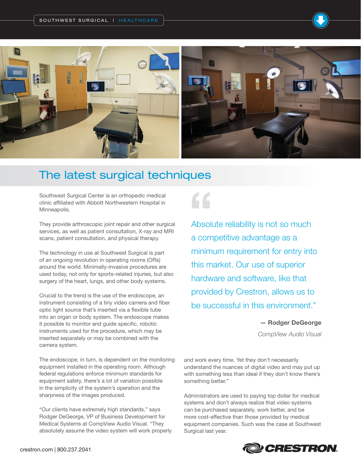

## The latest surgical techniques

Southwest Surgical Center is an orthopedic medical clinic affiliated with Abbott Northwestern Hospital in Minneapolis.

They provide arthroscopic joint repair and other surgical services, as well as patient consultation, X-ray and MRI scans, patient consultation, and physical therapy.

The technology in use at Southwest Surgical is part of an ongoing revolution in operating rooms (ORs) around the world. Minimally-invasive procedures are used today, not only for sports-related injuries, but also surgery of the heart, lungs, and other body systems.

Crucial to the trend is the use of the endoscope, an instrument consisting of a tiny video camera and fiber optic light source that's inserted via a flexible tube into an organ or body system. The endoscope makes it possible to monitor and guide specific, robotic instruments used for the procedure, which may be inserted separately or may be combined with the camera system.

The endoscope, in turn, is dependent on the monitoring equipment installed in the operating room. Although federal regulations enforce minimum standards for equipment safety, there's a lot of variation possible in the simplicity of the system's operation and the sharpness of the images produced.

"Our clients have extremely high standards," says Rodger DeGeorge, VP of Business Development for Medical Systems at CompView Audio Visual. "They absolutely assume the video system will work properly **"**

Absolute reliability is not so much a competitive advantage as a minimum requirement for entry into this market. Our use of superior hardware and software, like that provided by Crestron, allows us to be successful in this environment."

**— Rodger DeGeorge** 

CompView Audio Visual

and work every time. Yet they don't necessarily understand the nuances of digital video and may put up with something less than ideal if they don't know there's something better."

Administrators are used to paying top dollar for medical systems and don't always realize that video systems can be purchased separately, work better, and be more cost-effective than those provided by medical equipment companies. Such was the case at Southwest Surgical last year.

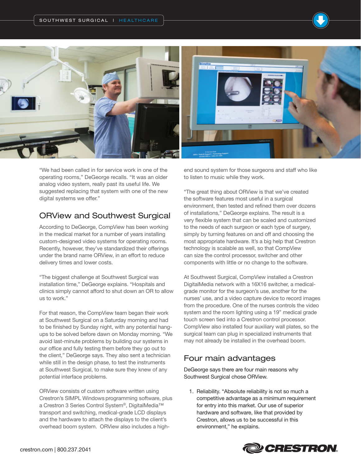

"We had been called in for service work in one of the operating rooms," DeGeorge recalls. "It was an older analog video system, really past its useful life. We suggested replacing that system with one of the new digital systems we offer."

#### ORView and Southwest Surgical

According to DeGeorge, CompView has been working in the medical market for a number of years installing custom-designed video systems for operating rooms. Recently, however, they've standardized their offerings under the brand name ORView, in an effort to reduce delivery times and lower costs.

"The biggest challenge at Southwest Surgical was installation time," DeGeorge explains. "Hospitals and clinics simply cannot afford to shut down an OR to allow us to work."

For that reason, the CompView team began their work at Southwest Surgical on a Saturday morning and had to be finished by Sunday night, with any potential hangups to be solved before dawn on Monday morning. "We avoid last-minute problems by building our systems in our office and fully testing them before they go out to the client," DeGeorge says. They also sent a technician while still in the design phase, to test the instruments at Southwest Surgical, to make sure they knew of any potential interface problems.

ORView consists of custom software written using Crestron's SIMPL Windows programming software, plus a Crestron 3 Series Control System®, DigitalMedia™ transport and switching, medical-grade LCD displays and the hardware to attach the displays to the client's overhead boom system. ORView also includes a highend sound system for those surgeons and staff who like to listen to music while they work.

"The great thing about ORView is that we've created the software features most useful in a surgical environment, then tested and refined them over dozens of installations," DeGeorge explains. The result is a very flexible system that can be scaled and customized to the needs of each surgeon or each type of surgery, simply by turning features on and off and choosing the most appropriate hardware. It's a big help that Crestron technology is scalable as well, so that CompView can size the control processor, switcher and other components with little or no change to the software.

At Southwest Surgical, CompView installed a Crestron DigitalMedia network with a 16X16 switcher, a medicalgrade monitor for the surgeon's use, another for the nurses' use, and a video capture device to record images from the procedure. One of the nurses controls the video system and the room lighting using a 19" medical grade touch screen tied into a Crestron control processor. CompView also installed four auxiliary wall plates, so the surgical team can plug in specialized instruments that may not already be installed in the overhead boom.

#### Four main advantages

DeGeorge says there are four main reasons why Southwest Surgical chose ORView.

1. Reliability. "Absolute reliability is not so much a competitive advantage as a minimum requirement for entry into this market. Our use of superior hardware and software, like that provided by Crestron, allows us to be successful in this environment," he explains.